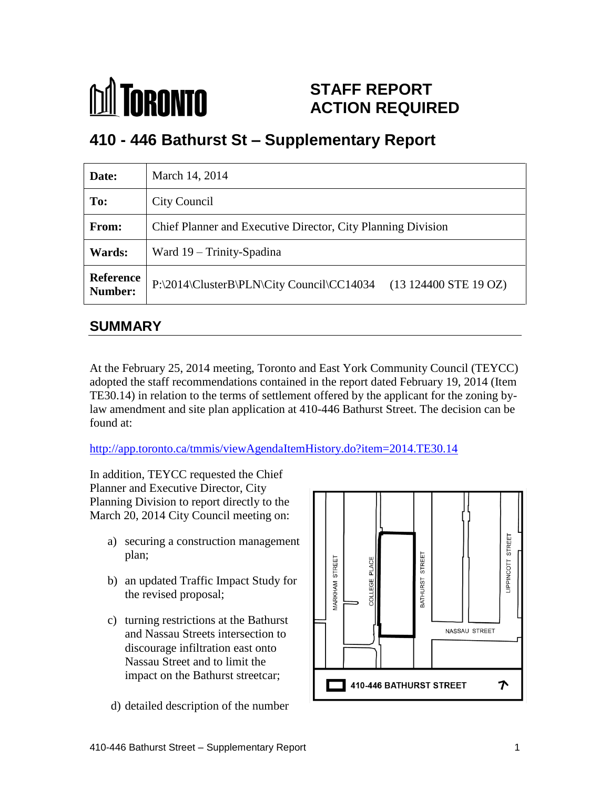

## **STAFF REPORT ACTION REQUIRED**

# **410 - 446 Bathurst St – Supplementary Report**

| Date:                       | March 14, 2014                                                                         |
|-----------------------------|----------------------------------------------------------------------------------------|
| To:                         | City Council                                                                           |
| <b>From:</b>                | Chief Planner and Executive Director, City Planning Division                           |
| <b>Wards:</b>               | Ward 19 – Trinity-Spadina                                                              |
| <b>Reference</b><br>Number: | P:\2014\ClusterB\PLN\City Council\CC14034<br>$(13\ 124400\ \text{STE}\ 19\ \text{OZ})$ |

### **SUMMARY**

At the February 25, 2014 meeting, Toronto and East York Community Council (TEYCC) adopted the staff recommendations contained in the report dated February 19, 2014 (Item TE30.14) in relation to the terms of settlement offered by the applicant for the zoning bylaw amendment and site plan application at 410-446 Bathurst Street. The decision can be found at:

<http://app.toronto.ca/tmmis/viewAgendaItemHistory.do?item=2014.TE30.14>

In addition, TEYCC requested the Chief Planner and Executive Director, City Planning Division to report directly to the March 20, 2014 City Council meeting on:

- a) securing a construction management plan;
- b) an updated Traffic Impact Study for the revised proposal;
- c) turning restrictions at the Bathurst and Nassau Streets intersection to discourage infiltration east onto Nassau Street and to limit the impact on the Bathurst streetcar;
- d) detailed description of the number

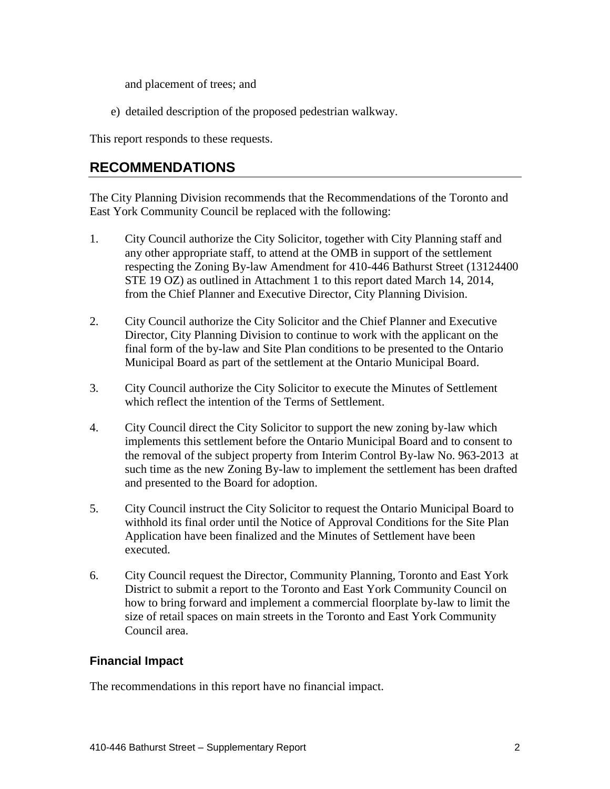and placement of trees; and

e) detailed description of the proposed pedestrian walkway.

This report responds to these requests.

### **RECOMMENDATIONS**

The City Planning Division recommends that the Recommendations of the Toronto and East York Community Council be replaced with the following:

- 1. City Council authorize the City Solicitor, together with City Planning staff and any other appropriate staff, to attend at the OMB in support of the settlement respecting the Zoning By-law Amendment for 410-446 Bathurst Street (13124400 STE 19 OZ) as outlined in Attachment 1 to this report dated March 14, 2014, from the Chief Planner and Executive Director, City Planning Division.
- 2. City Council authorize the City Solicitor and the Chief Planner and Executive Director, City Planning Division to continue to work with the applicant on the final form of the by-law and Site Plan conditions to be presented to the Ontario Municipal Board as part of the settlement at the Ontario Municipal Board.
- 3. City Council authorize the City Solicitor to execute the Minutes of Settlement which reflect the intention of the Terms of Settlement.
- 4. City Council direct the City Solicitor to support the new zoning by-law which implements this settlement before the Ontario Municipal Board and to consent to the removal of the subject property from Interim Control By-law No. 963-2013 at such time as the new Zoning By-law to implement the settlement has been drafted and presented to the Board for adoption.
- 5. City Council instruct the City Solicitor to request the Ontario Municipal Board to withhold its final order until the Notice of Approval Conditions for the Site Plan Application have been finalized and the Minutes of Settlement have been executed.
- 6. City Council request the Director, Community Planning, Toronto and East York District to submit a report to the Toronto and East York Community Council on how to bring forward and implement a commercial floorplate by-law to limit the size of retail spaces on main streets in the Toronto and East York Community Council area.

#### **Financial Impact**

The recommendations in this report have no financial impact.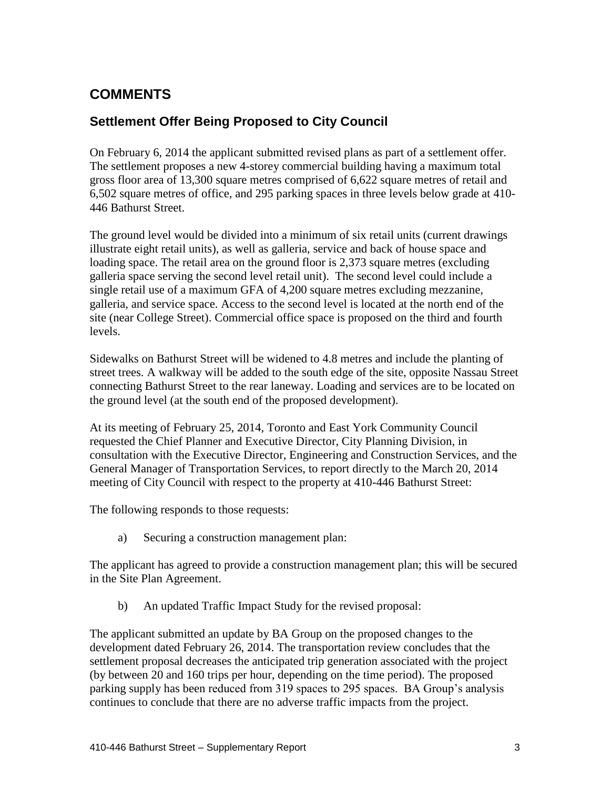## **COMMENTS**

## **Settlement Offer Being Proposed to City Council**

On February 6, 2014 the applicant submitted revised plans as part of a settlement offer. The settlement proposes a new 4-storey commercial building having a maximum total gross floor area of 13,300 square metres comprised of 6,622 square metres of retail and 6,502 square metres of office, and 295 parking spaces in three levels below grade at 410- 446 Bathurst Street.

The ground level would be divided into a minimum of six retail units (current drawings illustrate eight retail units), as well as galleria, service and back of house space and loading space. The retail area on the ground floor is 2,373 square metres (excluding galleria space serving the second level retail unit). The second level could include a single retail use of a maximum GFA of 4,200 square metres excluding mezzanine, galleria, and service space. Access to the second level is located at the north end of the site (near College Street). Commercial office space is proposed on the third and fourth levels.

Sidewalks on Bathurst Street will be widened to 4.8 metres and include the planting of street trees. A walkway will be added to the south edge of the site, opposite Nassau Street connecting Bathurst Street to the rear laneway. Loading and services are to be located on the ground level (at the south end of the proposed development).

At its meeting of February 25, 2014, Toronto and East York Community Council requested the Chief Planner and Executive Director, City Planning Division, in consultation with the Executive Director, Engineering and Construction Services, and the General Manager of Transportation Services, to report directly to the March 20, 2014 meeting of City Council with respect to the property at 410-446 Bathurst Street:

The following responds to those requests:

a) Securing a construction management plan:

The applicant has agreed to provide a construction management plan; this will be secured in the Site Plan Agreement.

b) An updated Traffic Impact Study for the revised proposal:

The applicant submitted an update by BA Group on the proposed changes to the development dated February 26, 2014. The transportation review concludes that the settlement proposal decreases the anticipated trip generation associated with the project (by between 20 and 160 trips per hour, depending on the time period). The proposed parking supply has been reduced from 319 spaces to 295 spaces. BA Group's analysis continues to conclude that there are no adverse traffic impacts from the project.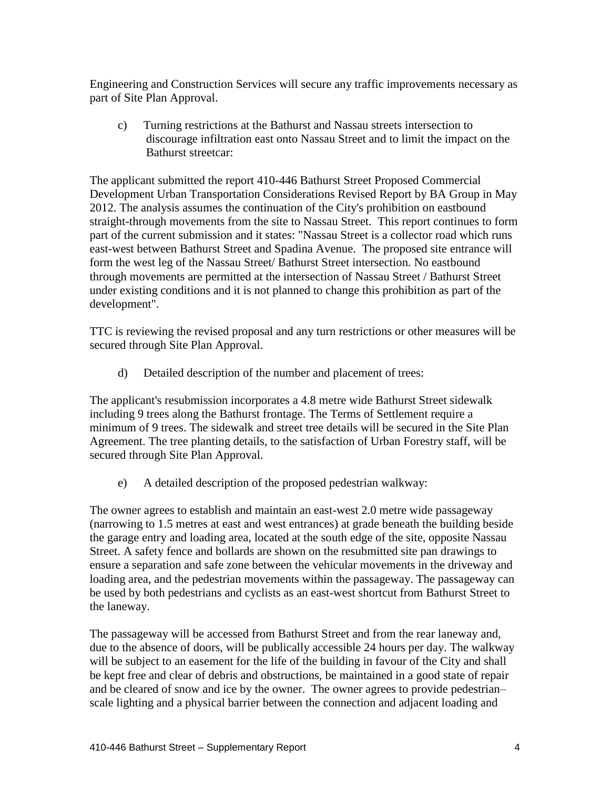Engineering and Construction Services will secure any traffic improvements necessary as part of Site Plan Approval.

c) Turning restrictions at the Bathurst and Nassau streets intersection to discourage infiltration east onto Nassau Street and to limit the impact on the Bathurst streetcar:

The applicant submitted the report 410-446 Bathurst Street Proposed Commercial Development Urban Transportation Considerations Revised Report by BA Group in May 2012. The analysis assumes the continuation of the City's prohibition on eastbound straight-through movements from the site to Nassau Street. This report continues to form part of the current submission and it states: "Nassau Street is a collector road which runs east-west between Bathurst Street and Spadina Avenue. The proposed site entrance will form the west leg of the Nassau Street/ Bathurst Street intersection. No eastbound through movements are permitted at the intersection of Nassau Street / Bathurst Street under existing conditions and it is not planned to change this prohibition as part of the development".

TTC is reviewing the revised proposal and any turn restrictions or other measures will be secured through Site Plan Approval.

d) Detailed description of the number and placement of trees:

The applicant's resubmission incorporates a 4.8 metre wide Bathurst Street sidewalk including 9 trees along the Bathurst frontage. The Terms of Settlement require a minimum of 9 trees. The sidewalk and street tree details will be secured in the Site Plan Agreement. The tree planting details, to the satisfaction of Urban Forestry staff, will be secured through Site Plan Approval.

e) A detailed description of the proposed pedestrian walkway:

The owner agrees to establish and maintain an east-west 2.0 metre wide passageway (narrowing to 1.5 metres at east and west entrances) at grade beneath the building beside the garage entry and loading area, located at the south edge of the site, opposite Nassau Street. A safety fence and bollards are shown on the resubmitted site pan drawings to ensure a separation and safe zone between the vehicular movements in the driveway and loading area, and the pedestrian movements within the passageway. The passageway can be used by both pedestrians and cyclists as an east-west shortcut from Bathurst Street to the laneway.

The passageway will be accessed from Bathurst Street and from the rear laneway and, due to the absence of doors, will be publically accessible 24 hours per day. The walkway will be subject to an easement for the life of the building in favour of the City and shall be kept free and clear of debris and obstructions, be maintained in a good state of repair and be cleared of snow and ice by the owner. The owner agrees to provide pedestrian– scale lighting and a physical barrier between the connection and adjacent loading and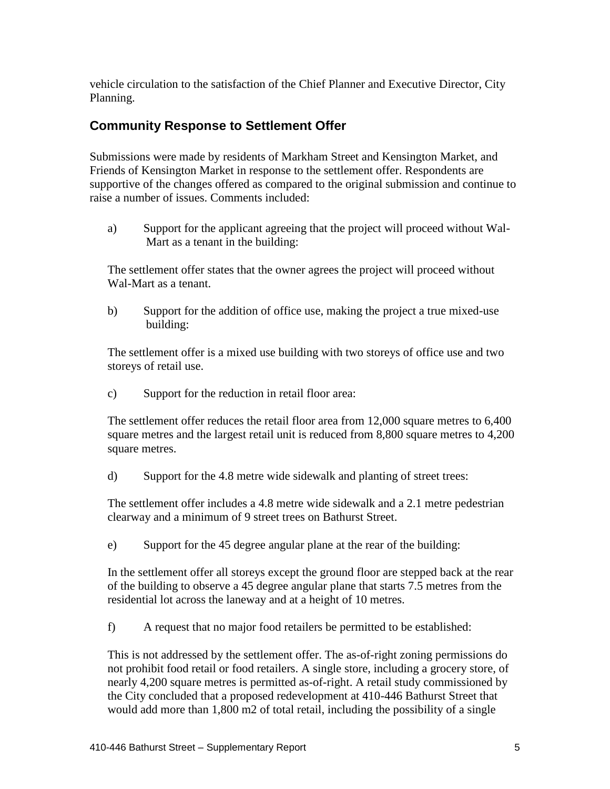vehicle circulation to the satisfaction of the Chief Planner and Executive Director, City Planning.

### **Community Response to Settlement Offer**

Submissions were made by residents of Markham Street and Kensington Market, and Friends of Kensington Market in response to the settlement offer. Respondents are supportive of the changes offered as compared to the original submission and continue to raise a number of issues. Comments included:

a) Support for the applicant agreeing that the project will proceed without Wal-Mart as a tenant in the building:

The settlement offer states that the owner agrees the project will proceed without Wal-Mart as a tenant.

b) Support for the addition of office use, making the project a true mixed-use building:

The settlement offer is a mixed use building with two storeys of office use and two storeys of retail use.

c) Support for the reduction in retail floor area:

The settlement offer reduces the retail floor area from 12,000 square metres to 6,400 square metres and the largest retail unit is reduced from 8,800 square metres to 4,200 square metres.

d) Support for the 4.8 metre wide sidewalk and planting of street trees:

The settlement offer includes a 4.8 metre wide sidewalk and a 2.1 metre pedestrian clearway and a minimum of 9 street trees on Bathurst Street.

e) Support for the 45 degree angular plane at the rear of the building:

In the settlement offer all storeys except the ground floor are stepped back at the rear of the building to observe a 45 degree angular plane that starts 7.5 metres from the residential lot across the laneway and at a height of 10 metres.

f) A request that no major food retailers be permitted to be established:

This is not addressed by the settlement offer. The as-of-right zoning permissions do not prohibit food retail or food retailers. A single store, including a grocery store, of nearly 4,200 square metres is permitted as-of-right. A retail study commissioned by the City concluded that a proposed redevelopment at 410-446 Bathurst Street that would add more than 1,800 m2 of total retail, including the possibility of a single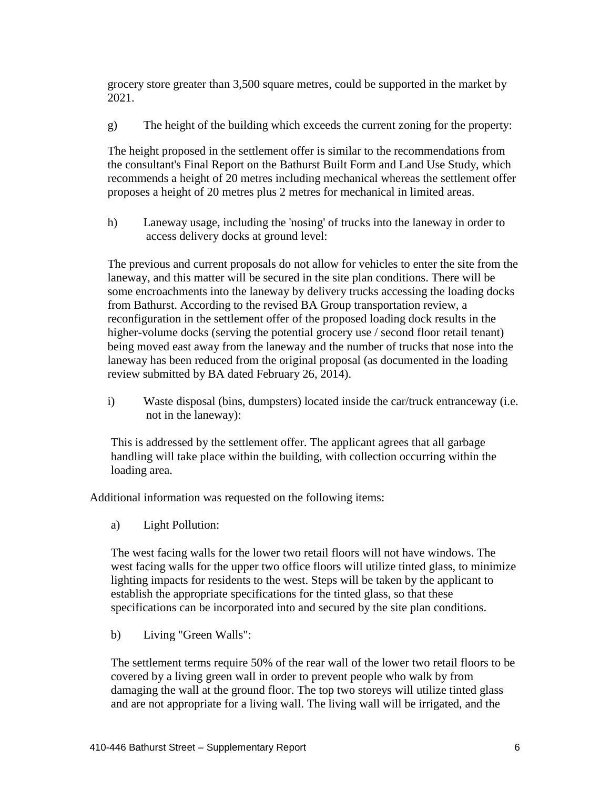grocery store greater than 3,500 square metres, could be supported in the market by 2021.

g) The height of the building which exceeds the current zoning for the property:

The height proposed in the settlement offer is similar to the recommendations from the consultant's Final Report on the Bathurst Built Form and Land Use Study, which recommends a height of 20 metres including mechanical whereas the settlement offer proposes a height of 20 metres plus 2 metres for mechanical in limited areas.

h) Laneway usage, including the 'nosing' of trucks into the laneway in order to access delivery docks at ground level:

The previous and current proposals do not allow for vehicles to enter the site from the laneway, and this matter will be secured in the site plan conditions. There will be some encroachments into the laneway by delivery trucks accessing the loading docks from Bathurst. According to the revised BA Group transportation review, a reconfiguration in the settlement offer of the proposed loading dock results in the higher-volume docks (serving the potential grocery use / second floor retail tenant) being moved east away from the laneway and the number of trucks that nose into the laneway has been reduced from the original proposal (as documented in the loading review submitted by BA dated February 26, 2014).

i) Waste disposal (bins, dumpsters) located inside the car/truck entranceway (i.e. not in the laneway):

This is addressed by the settlement offer. The applicant agrees that all garbage handling will take place within the building, with collection occurring within the loading area.

Additional information was requested on the following items:

a) Light Pollution:

The west facing walls for the lower two retail floors will not have windows. The west facing walls for the upper two office floors will utilize tinted glass, to minimize lighting impacts for residents to the west. Steps will be taken by the applicant to establish the appropriate specifications for the tinted glass, so that these specifications can be incorporated into and secured by the site plan conditions.

b) Living "Green Walls":

The settlement terms require 50% of the rear wall of the lower two retail floors to be covered by a living green wall in order to prevent people who walk by from damaging the wall at the ground floor. The top two storeys will utilize tinted glass and are not appropriate for a living wall. The living wall will be irrigated, and the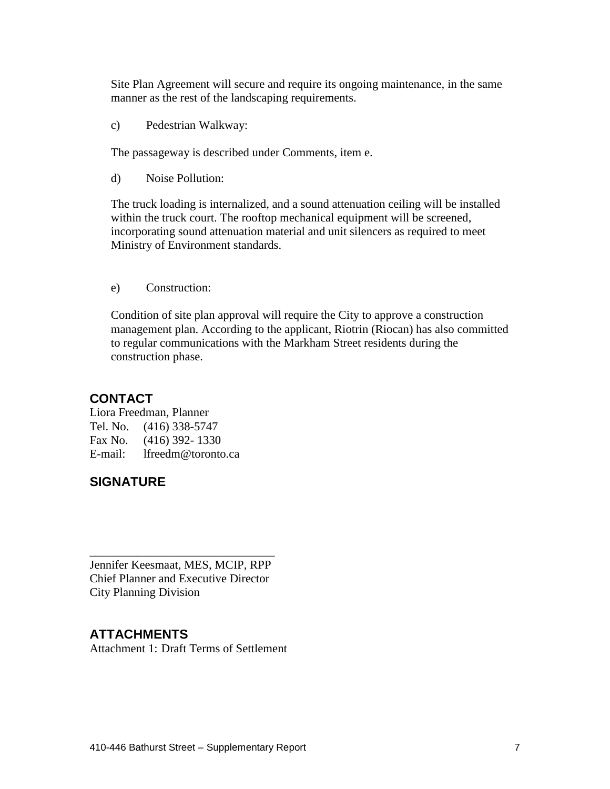Site Plan Agreement will secure and require its ongoing maintenance, in the same manner as the rest of the landscaping requirements.

c) Pedestrian Walkway:

The passageway is described under Comments, item e.

d) Noise Pollution:

The truck loading is internalized, and a sound attenuation ceiling will be installed within the truck court. The rooftop mechanical equipment will be screened, incorporating sound attenuation material and unit silencers as required to meet Ministry of Environment standards.

e) Construction:

Condition of site plan approval will require the City to approve a construction management plan. According to the applicant, Riotrin (Riocan) has also committed to regular communications with the Markham Street residents during the construction phase.

#### **CONTACT**

Liora Freedman, Planner Tel. No. (416) 338-5747 Fax No. (416) 392- 1330 E-mail: lfreedm@toronto.ca

### **SIGNATURE**

Jennifer Keesmaat, MES, MCIP, RPP Chief Planner and Executive Director City Planning Division

\_\_\_\_\_\_\_\_\_\_\_\_\_\_\_\_\_\_\_\_\_\_\_\_\_\_\_\_\_\_\_

### **ATTACHMENTS**

Attachment 1: Draft Terms of Settlement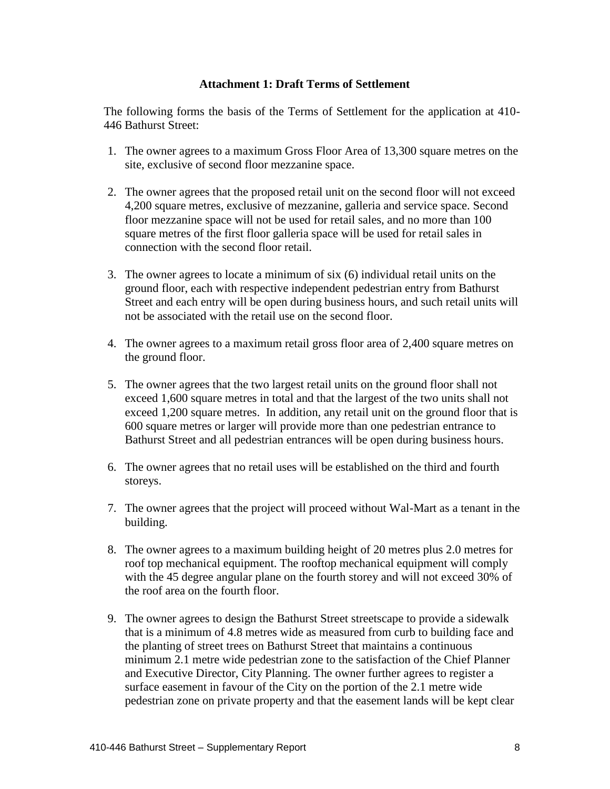#### **Attachment 1: Draft Terms of Settlement**

The following forms the basis of the Terms of Settlement for the application at 410- 446 Bathurst Street:

- 1. The owner agrees to a maximum Gross Floor Area of 13,300 square metres on the site, exclusive of second floor mezzanine space.
- 2. The owner agrees that the proposed retail unit on the second floor will not exceed 4,200 square metres, exclusive of mezzanine, galleria and service space. Second floor mezzanine space will not be used for retail sales, and no more than 100 square metres of the first floor galleria space will be used for retail sales in connection with the second floor retail.
- 3. The owner agrees to locate a minimum of six (6) individual retail units on the ground floor, each with respective independent pedestrian entry from Bathurst Street and each entry will be open during business hours, and such retail units will not be associated with the retail use on the second floor.
- 4. The owner agrees to a maximum retail gross floor area of 2,400 square metres on the ground floor.
- 5. The owner agrees that the two largest retail units on the ground floor shall not exceed 1,600 square metres in total and that the largest of the two units shall not exceed 1,200 square metres. In addition, any retail unit on the ground floor that is 600 square metres or larger will provide more than one pedestrian entrance to Bathurst Street and all pedestrian entrances will be open during business hours.
- 6. The owner agrees that no retail uses will be established on the third and fourth storeys.
- 7. The owner agrees that the project will proceed without Wal-Mart as a tenant in the building.
- 8. The owner agrees to a maximum building height of 20 metres plus 2.0 metres for roof top mechanical equipment. The rooftop mechanical equipment will comply with the 45 degree angular plane on the fourth storey and will not exceed 30% of the roof area on the fourth floor.
- 9. The owner agrees to design the Bathurst Street streetscape to provide a sidewalk that is a minimum of 4.8 metres wide as measured from curb to building face and the planting of street trees on Bathurst Street that maintains a continuous minimum 2.1 metre wide pedestrian zone to the satisfaction of the Chief Planner and Executive Director, City Planning. The owner further agrees to register a surface easement in favour of the City on the portion of the 2.1 metre wide pedestrian zone on private property and that the easement lands will be kept clear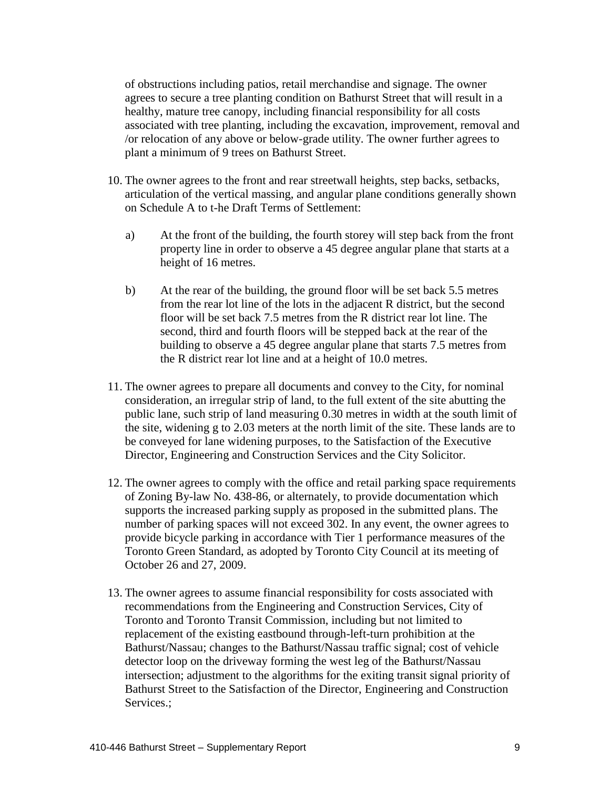of obstructions including patios, retail merchandise and signage. The owner agrees to secure a tree planting condition on Bathurst Street that will result in a healthy, mature tree canopy, including financial responsibility for all costs associated with tree planting, including the excavation, improvement, removal and /or relocation of any above or below-grade utility. The owner further agrees to plant a minimum of 9 trees on Bathurst Street.

- 10. The owner agrees to the front and rear streetwall heights, step backs, setbacks, articulation of the vertical massing, and angular plane conditions generally shown on Schedule A to t-he Draft Terms of Settlement:
	- a) At the front of the building, the fourth storey will step back from the front property line in order to observe a 45 degree angular plane that starts at a height of 16 metres.
	- b) At the rear of the building, the ground floor will be set back 5.5 metres from the rear lot line of the lots in the adjacent R district, but the second floor will be set back 7.5 metres from the R district rear lot line. The second, third and fourth floors will be stepped back at the rear of the building to observe a 45 degree angular plane that starts 7.5 metres from the R district rear lot line and at a height of 10.0 metres.
- 11. The owner agrees to prepare all documents and convey to the City, for nominal consideration, an irregular strip of land, to the full extent of the site abutting the public lane, such strip of land measuring 0.30 metres in width at the south limit of the site, widening g to 2.03 meters at the north limit of the site. These lands are to be conveyed for lane widening purposes, to the Satisfaction of the Executive Director, Engineering and Construction Services and the City Solicitor.
- 12. The owner agrees to comply with the office and retail parking space requirements of Zoning By-law No. 438-86, or alternately, to provide documentation which supports the increased parking supply as proposed in the submitted plans. The number of parking spaces will not exceed 302. In any event, the owner agrees to provide bicycle parking in accordance with Tier 1 performance measures of the Toronto Green Standard, as adopted by Toronto City Council at its meeting of October 26 and 27, 2009.
- 13. The owner agrees to assume financial responsibility for costs associated with recommendations from the Engineering and Construction Services, City of Toronto and Toronto Transit Commission, including but not limited to replacement of the existing eastbound through-left-turn prohibition at the Bathurst/Nassau; changes to the Bathurst/Nassau traffic signal; cost of vehicle detector loop on the driveway forming the west leg of the Bathurst/Nassau intersection; adjustment to the algorithms for the exiting transit signal priority of Bathurst Street to the Satisfaction of the Director, Engineering and Construction Services.;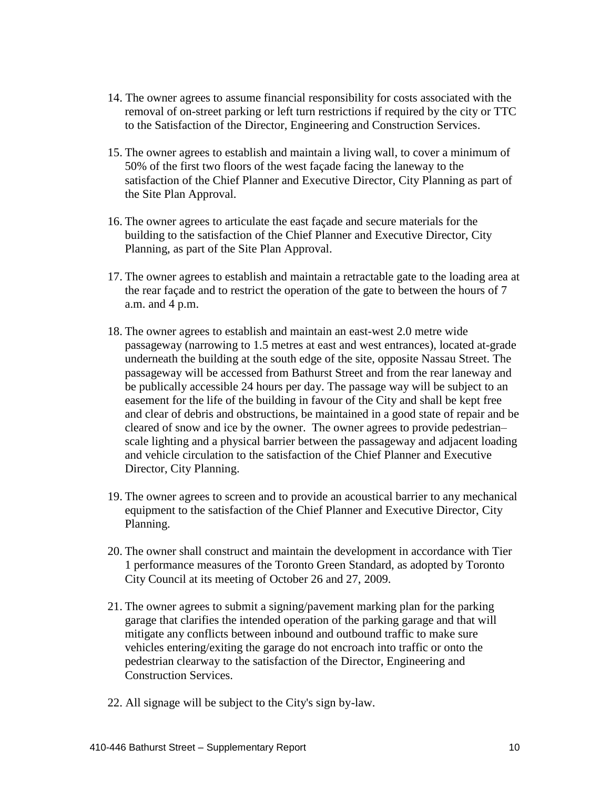- 14. The owner agrees to assume financial responsibility for costs associated with the removal of on-street parking or left turn restrictions if required by the city or TTC to the Satisfaction of the Director, Engineering and Construction Services.
- 15. The owner agrees to establish and maintain a living wall, to cover a minimum of 50% of the first two floors of the west façade facing the laneway to the satisfaction of the Chief Planner and Executive Director, City Planning as part of the Site Plan Approval.
- 16. The owner agrees to articulate the east façade and secure materials for the building to the satisfaction of the Chief Planner and Executive Director, City Planning, as part of the Site Plan Approval.
- 17. The owner agrees to establish and maintain a retractable gate to the loading area at the rear façade and to restrict the operation of the gate to between the hours of 7 a.m. and 4 p.m.
- 18. The owner agrees to establish and maintain an east-west 2.0 metre wide passageway (narrowing to 1.5 metres at east and west entrances), located at-grade underneath the building at the south edge of the site, opposite Nassau Street. The passageway will be accessed from Bathurst Street and from the rear laneway and be publically accessible 24 hours per day. The passage way will be subject to an easement for the life of the building in favour of the City and shall be kept free and clear of debris and obstructions, be maintained in a good state of repair and be cleared of snow and ice by the owner. The owner agrees to provide pedestrian– scale lighting and a physical barrier between the passageway and adjacent loading and vehicle circulation to the satisfaction of the Chief Planner and Executive Director, City Planning.
- 19. The owner agrees to screen and to provide an acoustical barrier to any mechanical equipment to the satisfaction of the Chief Planner and Executive Director, City Planning.
- 20. The owner shall construct and maintain the development in accordance with Tier 1 performance measures of the Toronto Green Standard, as adopted by Toronto City Council at its meeting of October 26 and 27, 2009.
- 21. The owner agrees to submit a signing/pavement marking plan for the parking garage that clarifies the intended operation of the parking garage and that will mitigate any conflicts between inbound and outbound traffic to make sure vehicles entering/exiting the garage do not encroach into traffic or onto the pedestrian clearway to the satisfaction of the Director, Engineering and Construction Services.
- 22. All signage will be subject to the City's sign by-law.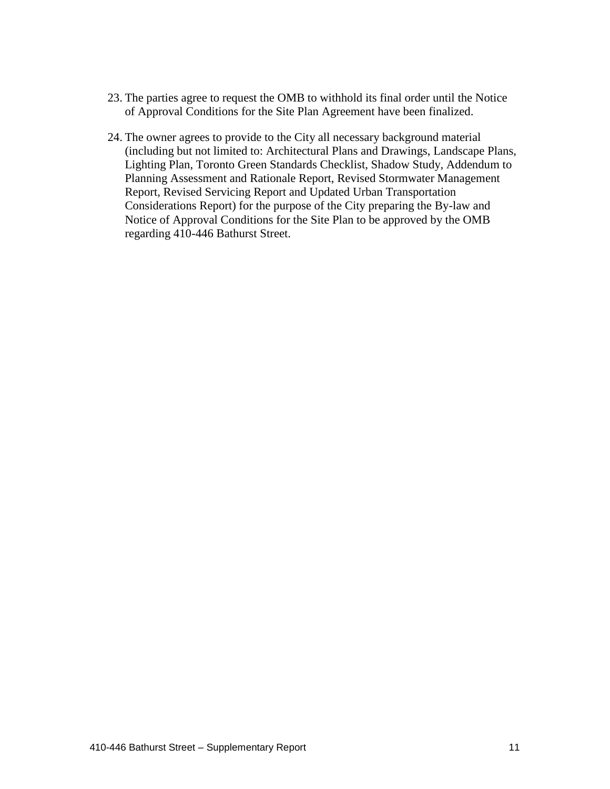- 23. The parties agree to request the OMB to withhold its final order until the Notice of Approval Conditions for the Site Plan Agreement have been finalized.
- 24. The owner agrees to provide to the City all necessary background material (including but not limited to: Architectural Plans and Drawings, Landscape Plans, Lighting Plan, Toronto Green Standards Checklist, Shadow Study, Addendum to Planning Assessment and Rationale Report, Revised Stormwater Management Report, Revised Servicing Report and Updated Urban Transportation Considerations Report) for the purpose of the City preparing the By-law and Notice of Approval Conditions for the Site Plan to be approved by the OMB regarding 410-446 Bathurst Street.